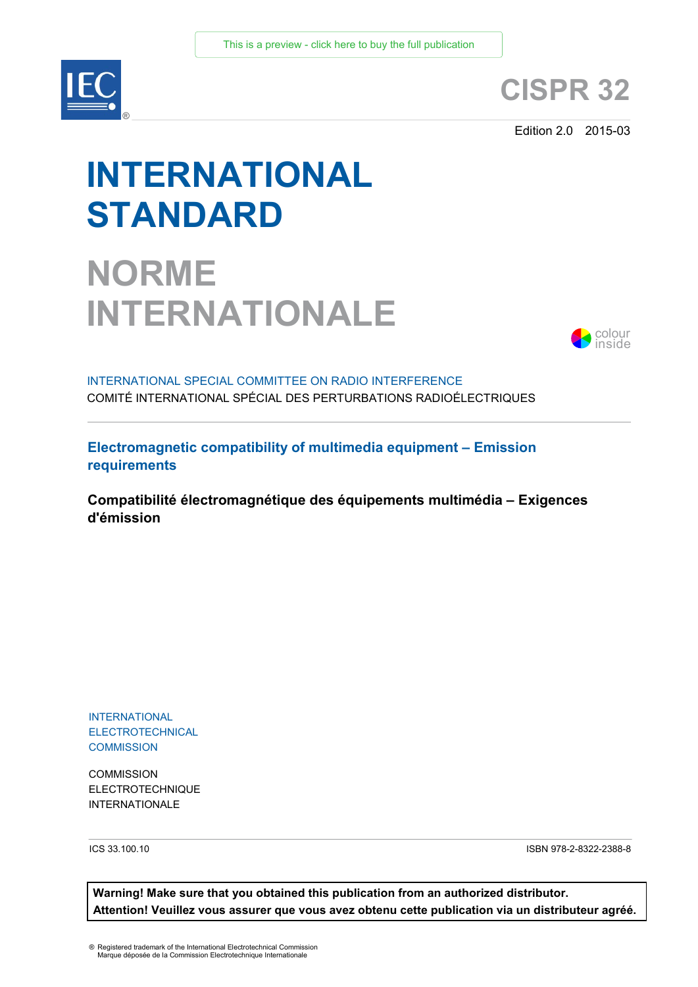

## **CISPR 32**

Edition 2.0 2015-03

# **INTERNATIONAL STANDARD**

## **NORME INTERNATIONALE**



INTERNATIONAL SPECIAL COMMITTEE ON RADIO INTERFERENCE COMITÉ INTERNATIONAL SPÉCIAL DES PERTURBATIONS RADIOÉLECTRIQUES

**Electromagnetic compatibility of multimedia equipment – Emission requirements**

**Compatibilité électromagnétique des équipements multimédia – Exigences d'émission**

INTERNATIONAL **ELECTROTECHNICAL COMMISSION** 

**COMMISSION** ELECTROTECHNIQUE INTERNATIONALE

ICS 33.100.10 ISBN 978-2-8322-2388-8

**Warning! Make sure that you obtained this publication from an authorized distributor. Attention! Veuillez vous assurer que vous avez obtenu cette publication via un distributeur agréé.**

® Registered trademark of the International Electrotechnical Commission Marque déposée de la Commission Electrotechnique Internationale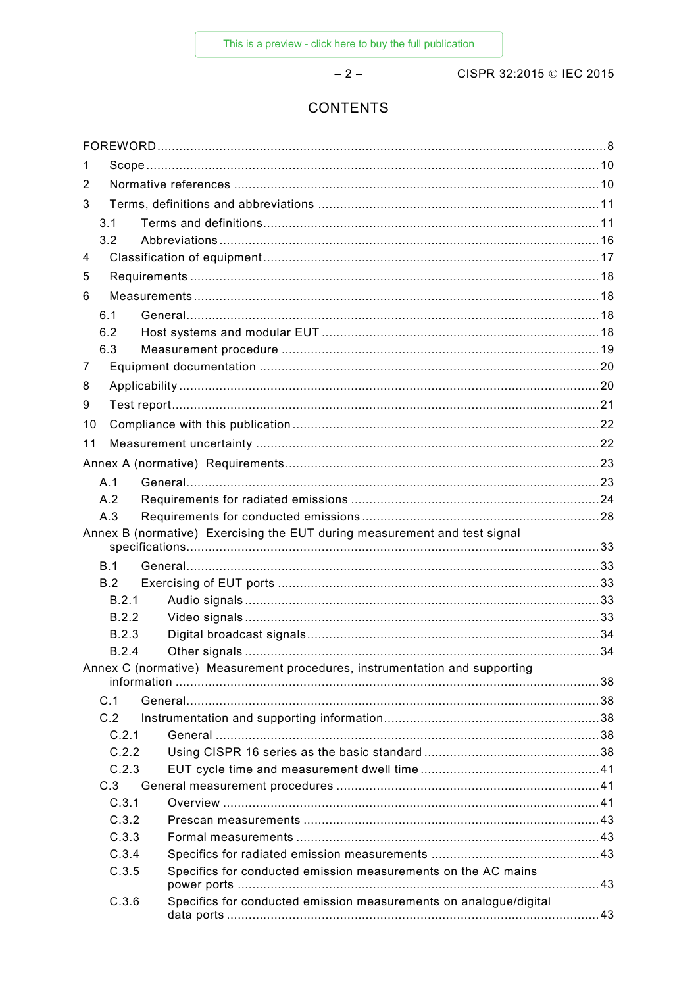$-2-$ 

CISPR 32:2015 © IEC 2015

## **CONTENTS**

| 1     |                                                                            |  |
|-------|----------------------------------------------------------------------------|--|
| 2     |                                                                            |  |
| 3     |                                                                            |  |
| 3.1   |                                                                            |  |
| 3.2   |                                                                            |  |
| 4     |                                                                            |  |
| 5     |                                                                            |  |
| 6     |                                                                            |  |
| 6.1   |                                                                            |  |
| 6.2   |                                                                            |  |
| 6.3   |                                                                            |  |
| 7     |                                                                            |  |
| 8     |                                                                            |  |
| 9     |                                                                            |  |
| 10    |                                                                            |  |
| 11    |                                                                            |  |
|       |                                                                            |  |
| A.1   |                                                                            |  |
| A.2   |                                                                            |  |
| A.3   |                                                                            |  |
|       | Annex B (normative) Exercising the EUT during measurement and test signal  |  |
|       |                                                                            |  |
| B.1   |                                                                            |  |
| B.2   |                                                                            |  |
| B.2.1 |                                                                            |  |
| B.2.2 |                                                                            |  |
| B.2.3 |                                                                            |  |
| B.2.4 |                                                                            |  |
|       | Annex C (normative) Measurement procedures, instrumentation and supporting |  |
| C.1   |                                                                            |  |
| C.2   |                                                                            |  |
| C.2.1 |                                                                            |  |
| C.2.2 |                                                                            |  |
| C.2.3 |                                                                            |  |
| C.3   |                                                                            |  |
| C.3.1 |                                                                            |  |
| C.3.2 |                                                                            |  |
| C.3.3 |                                                                            |  |
| C.3.4 |                                                                            |  |
| C.3.5 | Specifics for conducted emission measurements on the AC mains              |  |
| C.3.6 | Specifics for conducted emission measurements on analogue/digital          |  |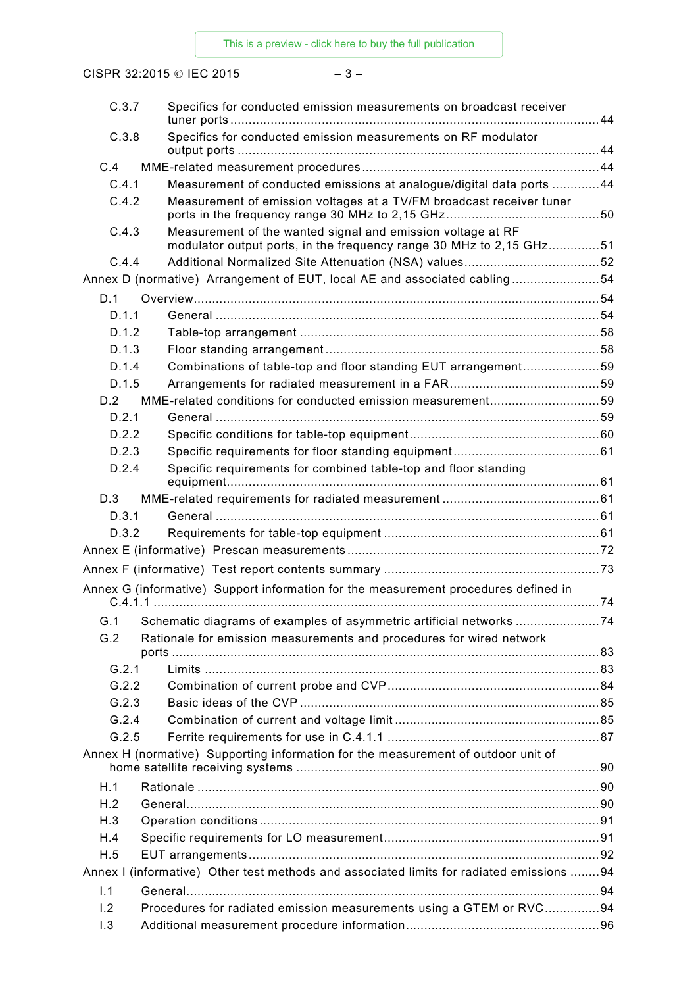CISPR 32:2015 © IEC 2015 – 3 –

| C.3.7 | Specifics for conducted emission measurements on broadcast receiver                                                                |  |
|-------|------------------------------------------------------------------------------------------------------------------------------------|--|
| C.3.8 | Specifics for conducted emission measurements on RF modulator                                                                      |  |
| C.4   |                                                                                                                                    |  |
| C.4.1 | Measurement of conducted emissions at analogue/digital data ports 44                                                               |  |
| C.4.2 | Measurement of emission voltages at a TV/FM broadcast receiver tuner                                                               |  |
|       |                                                                                                                                    |  |
| C.4.3 | Measurement of the wanted signal and emission voltage at RF<br>modulator output ports, in the frequency range 30 MHz to 2,15 GHz51 |  |
| C.4.4 |                                                                                                                                    |  |
|       | Annex D (normative) Arrangement of EUT, local AE and associated cabling54                                                          |  |
| D.1   |                                                                                                                                    |  |
| D.1.1 |                                                                                                                                    |  |
| D.1.2 |                                                                                                                                    |  |
| D.1.3 |                                                                                                                                    |  |
| D.1.4 | Combinations of table-top and floor standing EUT arrangement59                                                                     |  |
| D.1.5 |                                                                                                                                    |  |
| D.2   | MME-related conditions for conducted emission measurement59                                                                        |  |
| D.2.1 |                                                                                                                                    |  |
| D.2.2 |                                                                                                                                    |  |
| D.2.3 |                                                                                                                                    |  |
| D.2.4 | Specific requirements for combined table-top and floor standing                                                                    |  |
| D.3   |                                                                                                                                    |  |
| D.3.1 |                                                                                                                                    |  |
| D.3.2 |                                                                                                                                    |  |
|       |                                                                                                                                    |  |
|       |                                                                                                                                    |  |
|       |                                                                                                                                    |  |
|       | Annex G (informative) Support information for the measurement procedures defined in                                                |  |
| G.1   | Schematic diagrams of examples of asymmetric artificial networks 74                                                                |  |
| G.2   | Rationale for emission measurements and procedures for wired network                                                               |  |
|       |                                                                                                                                    |  |
| G.2.1 |                                                                                                                                    |  |
| G.2.2 |                                                                                                                                    |  |
| G.2.3 |                                                                                                                                    |  |
| G.2.4 |                                                                                                                                    |  |
| G.2.5 |                                                                                                                                    |  |
|       | Annex H (normative) Supporting information for the measurement of outdoor unit of                                                  |  |
| H.1   |                                                                                                                                    |  |
| H.2   |                                                                                                                                    |  |
| H.3   |                                                                                                                                    |  |
| H.4   |                                                                                                                                    |  |
| H.5   |                                                                                                                                    |  |
|       | Annex I (informative) Other test methods and associated limits for radiated emissions 94                                           |  |
| 1.1   |                                                                                                                                    |  |
| 1.2   | Procedures for radiated emission measurements using a GTEM or RVC94                                                                |  |
| 1.3   |                                                                                                                                    |  |
|       |                                                                                                                                    |  |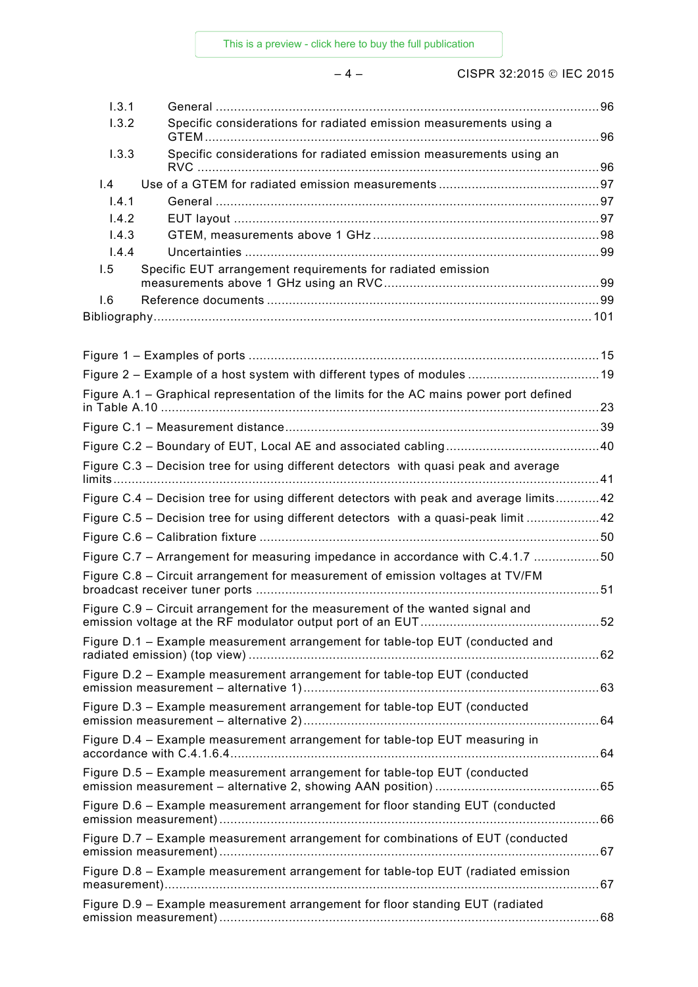[This is a preview - click here to buy the full publication](https://webstore.iec.ch/publication/22046&preview=1)

– 4 – CISPR 32:2015 IEC 2015

| 1.3.1 |                                                                                         |  |
|-------|-----------------------------------------------------------------------------------------|--|
| 1.3.2 | Specific considerations for radiated emission measurements using a                      |  |
| 1.3.3 | Specific considerations for radiated emission measurements using an                     |  |
| 1.4   |                                                                                         |  |
| 1.4.1 |                                                                                         |  |
| 1.4.2 |                                                                                         |  |
| 1.4.3 |                                                                                         |  |
| 1.4.4 |                                                                                         |  |
| 1.5   | Specific EUT arrangement requirements for radiated emission                             |  |
| 1.6   |                                                                                         |  |
|       |                                                                                         |  |
|       |                                                                                         |  |
|       |                                                                                         |  |
|       | Figure A.1 - Graphical representation of the limits for the AC mains power port defined |  |
|       |                                                                                         |  |
|       |                                                                                         |  |
|       | Figure C.3 - Decision tree for using different detectors with quasi peak and average    |  |
|       | Figure C.4 - Decision tree for using different detectors with peak and average limits42 |  |
|       | Figure C.5 - Decision tree for using different detectors with a quasi-peak limit 42     |  |
|       |                                                                                         |  |
|       | Figure C.7 - Arrangement for measuring impedance in accordance with C.4.1.7 50          |  |
|       | Figure C.8 - Circuit arrangement for measurement of emission voltages at TV/FM          |  |
|       | Figure C.9 – Circuit arrangement for the measurement of the wanted signal and           |  |
|       | Figure D.1 - Example measurement arrangement for table-top EUT (conducted and           |  |
|       | Figure D.2 - Example measurement arrangement for table-top EUT (conducted               |  |
|       | Figure D.3 - Example measurement arrangement for table-top EUT (conducted               |  |
|       | Figure D.4 - Example measurement arrangement for table-top EUT measuring in             |  |
|       | Figure D.5 - Example measurement arrangement for table-top EUT (conducted               |  |
|       |                                                                                         |  |
|       | Figure D.6 - Example measurement arrangement for floor standing EUT (conducted          |  |
|       | Figure D.7 - Example measurement arrangement for combinations of EUT (conducted         |  |
|       | Figure D.8 - Example measurement arrangement for table-top EUT (radiated emission       |  |
|       | Figure D.9 - Example measurement arrangement for floor standing EUT (radiated           |  |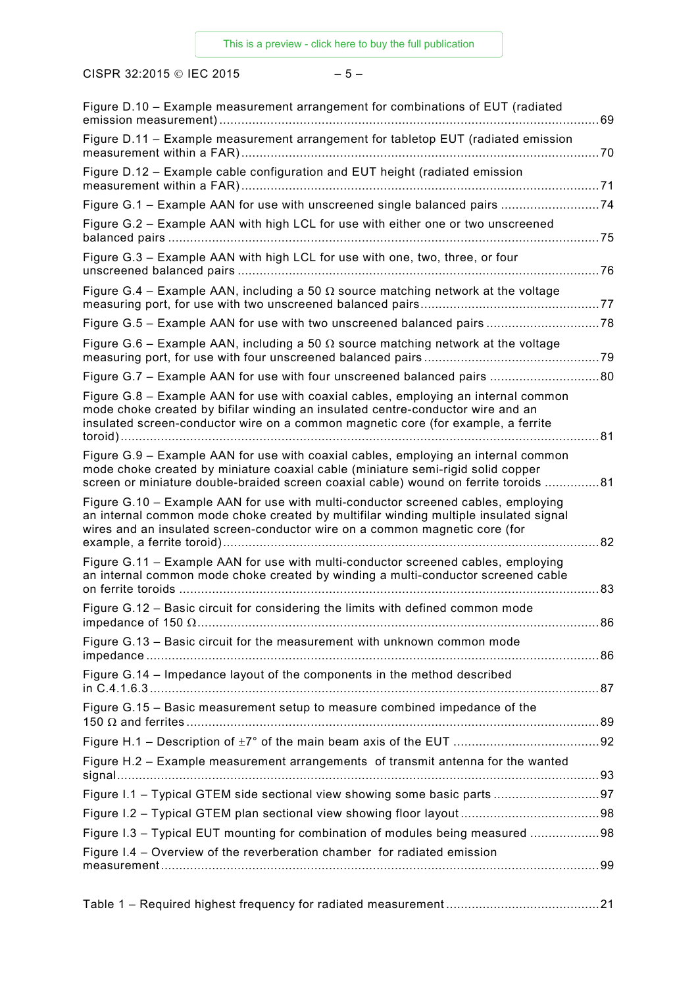CISPR 32:2015 © IEC 2015  $-5-$ 

| Figure D.10 - Example measurement arrangement for combinations of EUT (radiated                                                                                                                                                                                | . 69 |
|----------------------------------------------------------------------------------------------------------------------------------------------------------------------------------------------------------------------------------------------------------------|------|
| Figure D.11 - Example measurement arrangement for tabletop EUT (radiated emission                                                                                                                                                                              |      |
| Figure D.12 - Example cable configuration and EUT height (radiated emission                                                                                                                                                                                    |      |
| Figure G.1 - Example AAN for use with unscreened single balanced pairs 74                                                                                                                                                                                      |      |
| Figure G.2 - Example AAN with high LCL for use with either one or two unscreened                                                                                                                                                                               |      |
| Figure G.3 - Example AAN with high LCL for use with one, two, three, or four                                                                                                                                                                                   |      |
| Figure G.4 – Example AAN, including a 50 $\Omega$ source matching network at the voltage                                                                                                                                                                       |      |
| Figure G.5 - Example AAN for use with two unscreened balanced pairs 78                                                                                                                                                                                         |      |
| Figure G.6 – Example AAN, including a 50 $\Omega$ source matching network at the voltage                                                                                                                                                                       |      |
| Figure G.7 - Example AAN for use with four unscreened balanced pairs 80                                                                                                                                                                                        |      |
| Figure G.8 – Example AAN for use with coaxial cables, employing an internal common<br>mode choke created by bifilar winding an insulated centre-conductor wire and an<br>insulated screen-conductor wire on a common magnetic core (for example, a ferrite     |      |
| Figure G.9 – Example AAN for use with coaxial cables, employing an internal common<br>mode choke created by miniature coaxial cable (miniature semi-rigid solid copper<br>screen or miniature double-braided screen coaxial cable) wound on ferrite toroids 81 |      |
| Figure G.10 - Example AAN for use with multi-conductor screened cables, employing<br>an internal common mode choke created by multifilar winding multiple insulated signal<br>wires and an insulated screen-conductor wire on a common magnetic core (for      |      |
| Figure G.11 - Example AAN for use with multi-conductor screened cables, employing<br>an internal common mode choke created by winding a multi-conductor screened cable                                                                                         | .83  |
| Figure G.12 - Basic circuit for considering the limits with defined common mode                                                                                                                                                                                |      |
| Figure G.13 - Basic circuit for the measurement with unknown common mode                                                                                                                                                                                       |      |
| Figure G.14 – Impedance layout of the components in the method described                                                                                                                                                                                       |      |
| Figure G.15 - Basic measurement setup to measure combined impedance of the                                                                                                                                                                                     |      |
|                                                                                                                                                                                                                                                                |      |
| Figure H.2 - Example measurement arrangements of transmit antenna for the wanted                                                                                                                                                                               |      |
|                                                                                                                                                                                                                                                                |      |
|                                                                                                                                                                                                                                                                |      |
| Figure I.3 - Typical EUT mounting for combination of modules being measured 98                                                                                                                                                                                 |      |
| Figure I.4 – Overview of the reverberation chamber for radiated emission                                                                                                                                                                                       |      |

Table 1 – Required highest frequency for radiated measurement ..........................................21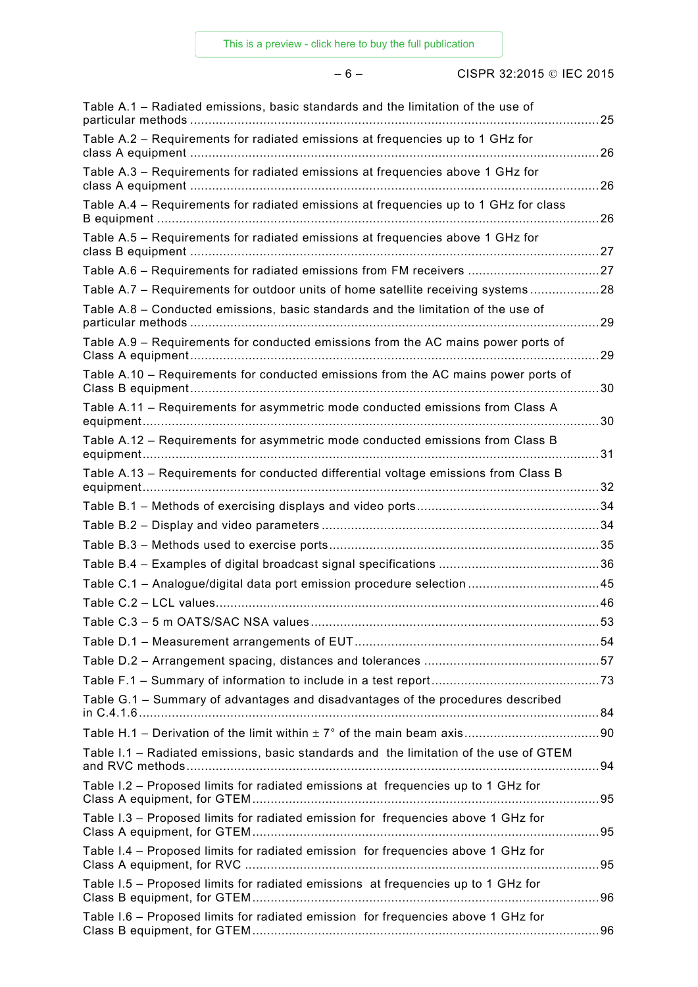– 6 – CISPR 32:2015 IEC 2015

| Table A.1 - Radiated emissions, basic standards and the limitation of the use of      |    |
|---------------------------------------------------------------------------------------|----|
| Table A.2 - Requirements for radiated emissions at frequencies up to 1 GHz for        |    |
| Table A.3 - Requirements for radiated emissions at frequencies above 1 GHz for        | 26 |
| Table A.4 - Requirements for radiated emissions at frequencies up to 1 GHz for class  |    |
| Table A.5 - Requirements for radiated emissions at frequencies above 1 GHz for        |    |
| Table A.6 - Requirements for radiated emissions from FM receivers 27                  |    |
| Table A.7 - Requirements for outdoor units of home satellite receiving systems28      |    |
| Table A.8 - Conducted emissions, basic standards and the limitation of the use of     |    |
| Table A.9 - Requirements for conducted emissions from the AC mains power ports of     | 29 |
| Table A.10 - Requirements for conducted emissions from the AC mains power ports of    |    |
| Table A.11 - Requirements for asymmetric mode conducted emissions from Class A        |    |
| Table A.12 - Requirements for asymmetric mode conducted emissions from Class B        |    |
| Table A.13 - Requirements for conducted differential voltage emissions from Class B   |    |
|                                                                                       |    |
|                                                                                       |    |
|                                                                                       |    |
|                                                                                       |    |
| Table C.1 - Analogue/digital data port emission procedure selection 45                |    |
|                                                                                       |    |
| Table C.3 - 5 m OATS/SAC NSA values.                                                  |    |
|                                                                                       |    |
|                                                                                       |    |
|                                                                                       |    |
| Table G.1 - Summary of advantages and disadvantages of the procedures described       |    |
|                                                                                       |    |
| Table I.1 - Radiated emissions, basic standards and the limitation of the use of GTEM |    |
| Table I.2 - Proposed limits for radiated emissions at frequencies up to 1 GHz for     |    |
| Table I.3 - Proposed limits for radiated emission for frequencies above 1 GHz for     |    |
| Table I.4 - Proposed limits for radiated emission for frequencies above 1 GHz for     |    |
| Table I.5 - Proposed limits for radiated emissions at frequencies up to 1 GHz for     |    |
| Table I.6 - Proposed limits for radiated emission for frequencies above 1 GHz for     |    |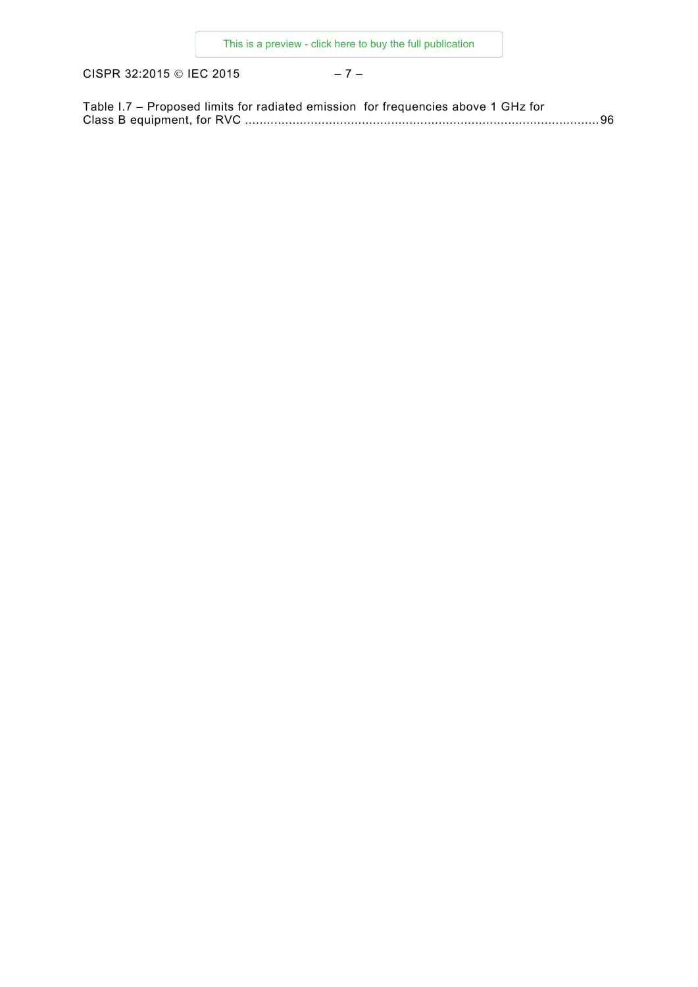CISPR 32:2015 © IEC 2015 – 7 –

| Table I.7 – Proposed limits for radiated emission for frequencies above 1 GHz for |  |
|-----------------------------------------------------------------------------------|--|
|                                                                                   |  |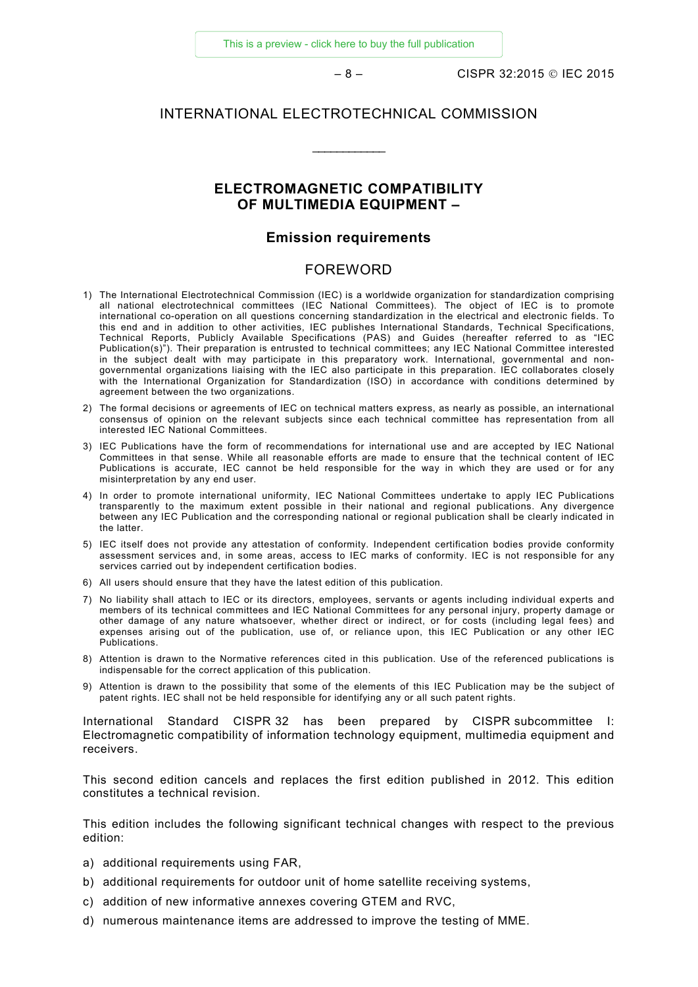[This is a preview - click here to buy the full publication](https://webstore.iec.ch/publication/22046&preview=1)

– 8 – CISPR 32:2015 IEC 2015

#### INTERNATIONAL ELECTROTECHNICAL COMMISSION

\_\_\_\_\_\_\_\_\_\_\_\_

#### **ELECTROMAGNETIC COMPATIBILITY OF MULTIMEDIA EQUIPMENT –**

#### **Emission requirements**

#### FOREWORD

- <span id="page-7-0"></span>1) The International Electrotechnical Commission (IEC) is a worldwide organization for standardization comprising all national electrotechnical committees (IEC National Committees). The object of IEC is to promote international co-operation on all questions concerning standardization in the electrical and electronic fields. To this end and in addition to other activities, IEC publishes International Standards, Technical Specifications, Technical Reports, Publicly Available Specifications (PAS) and Guides (hereafter referred to as "IEC Publication(s)"). Their preparation is entrusted to technical committees; any IEC National Committee interested in the subject dealt with may participate in this preparatory work. International, governmental and nongovernmental organizations liaising with the IEC also participate in this preparation. IEC collaborates closely with the International Organization for Standardization (ISO) in accordance with conditions determined by agreement between the two organizations.
- 2) The formal decisions or agreements of IEC on technical matters express, as nearly as possible, an international consensus of opinion on the relevant subjects since each technical committee has representation from all interested IEC National Committees.
- 3) IEC Publications have the form of recommendations for international use and are accepted by IEC National Committees in that sense. While all reasonable efforts are made to ensure that the technical content of IEC Publications is accurate, IEC cannot be held responsible for the way in which they are used or for any misinterpretation by any end user.
- 4) In order to promote international uniformity, IEC National Committees undertake to apply IEC Publications transparently to the maximum extent possible in their national and regional publications. Any divergence between any IEC Publication and the corresponding national or regional publication shall be clearly indicated in the latter.
- 5) IEC itself does not provide any attestation of conformity. Independent certification bodies provide conformity assessment services and, in some areas, access to IEC marks of conformity. IEC is not responsible for any services carried out by independent certification bodies.
- 6) All users should ensure that they have the latest edition of this publication.
- 7) No liability shall attach to IEC or its directors, employees, servants or agents including individual experts and members of its technical committees and IEC National Committees for any personal injury, property damage or other damage of any nature whatsoever, whether direct or indirect, or for costs (including legal fees) and expenses arising out of the publication, use of, or reliance upon, this IEC Publication or any other IEC Publications.
- 8) Attention is drawn to the Normative references cited in this publication. Use of the referenced publications is indispensable for the correct application of this publication.
- 9) Attention is drawn to the possibility that some of the elements of this IEC Publication may be the subject of patent rights. IEC shall not be held responsible for identifying any or all such patent rights.

International Standard CISPR 32 has been prepared by CISPR subcommittee I: Electromagnetic compatibility of information technology equipment, multimedia equipment and receivers.

This second edition cancels and replaces the first edition published in 2012. This edition constitutes a technical revision.

This edition includes the following significant technical changes with respect to the previous edition:

- a) additional requirements using FAR,
- b) additional requirements for outdoor unit of home satellite receiving systems,
- c) addition of new informative annexes covering GTEM and RVC,
- d) numerous maintenance items are addressed to improve the testing of MME.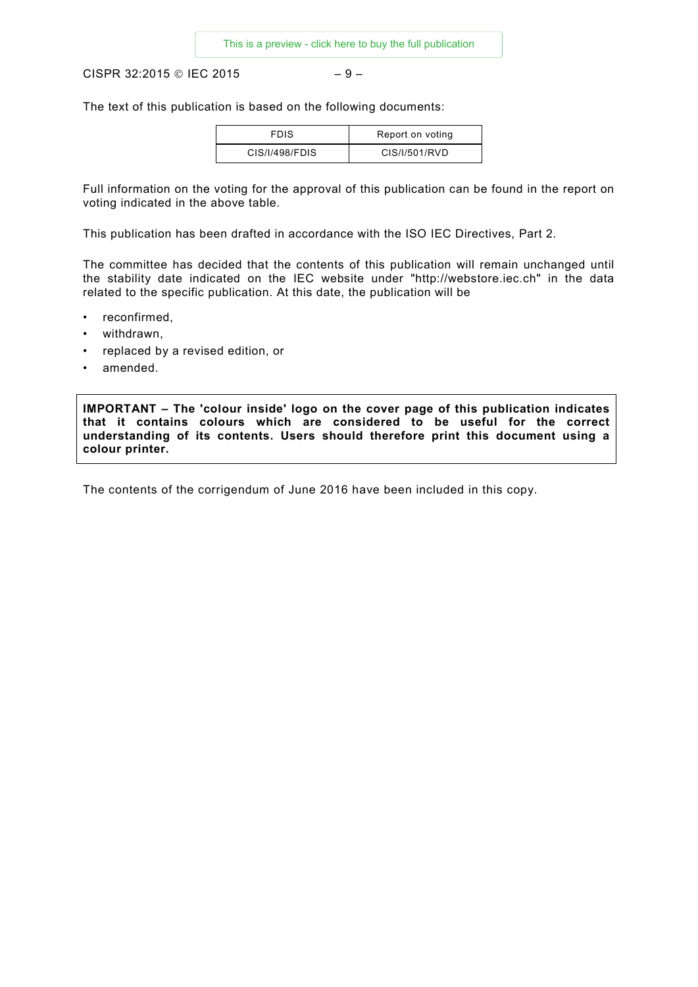CISPR 32:2015 © IEC 2015  $-9-$ 

The text of this publication is based on the following documents:

| <b>FDIS</b>    | Report on voting |
|----------------|------------------|
| CIS/I/498/FDIS | CIS/I/501/RVD    |

Full information on the voting for the approval of this publication can be found in the report on voting indicated in the above table.

This publication has been drafted in accordance with the ISO IEC Directives, Part 2.

The committee has decided that the contents of this publication will remain unchanged until the stability date indicated on the IEC website under "http://webstore.iec.ch" in the data related to the specific publication. At this date, the publication will be

- reconfirmed,
- withdrawn,
- replaced by a revised edition, or
- amended.

**IMPORTANT – The 'colour inside' logo on the cover page of this publication indicates that it contains colours which are considered to be useful for the correct understanding of its contents. Users should therefore print this document using a colour printer.** 

The contents of the corrigendum of June 2016 have been included in this copy.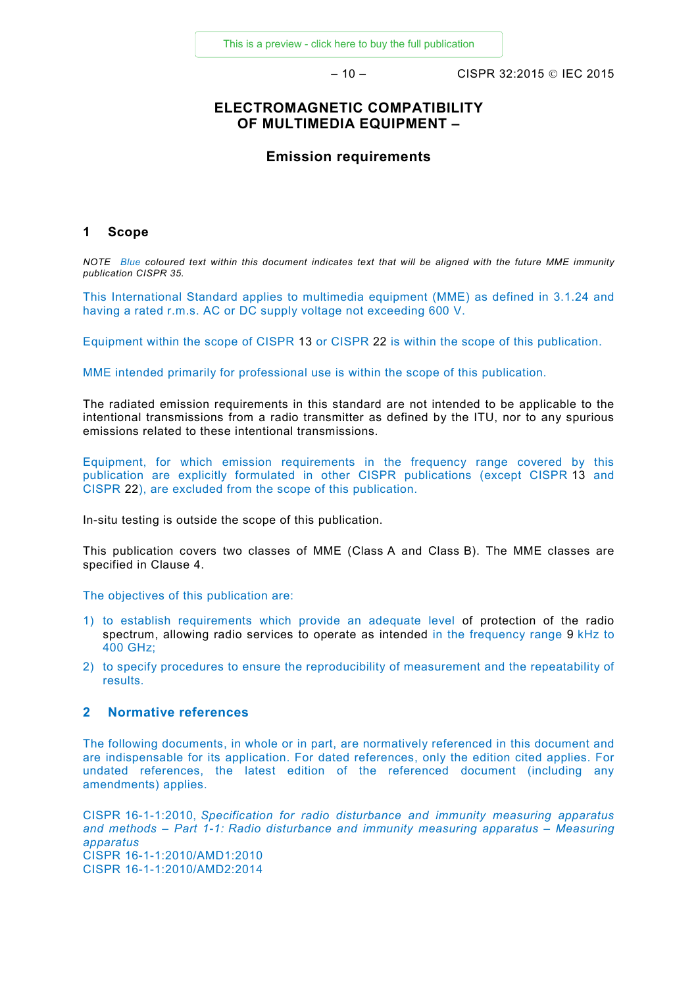– 10 – CISPR 32:2015 IEC 2015

#### **ELECTROMAGNETIC COMPATIBILITY OF MULTIMEDIA EQUIPMENT –**

#### **Emission requirements**

#### <span id="page-9-0"></span>**1 Scope**

*NOTE Blue coloured text within this document indicates text that will be aligned with the future MME immunity publication CISPR 35.*

This International Standard applies to multimedia equipment (MME) as defined in 3.1.24 and having a rated r.m.s. AC or DC supply voltage not exceeding 600 V.

Equipment within the scope of CISPR 13 or CISPR 22 is within the scope of this publication.

MME intended primarily for professional use is within the scope of this publication.

The radiated emission requirements in this standard are not intended to be applicable to the intentional transmissions from a radio transmitter as defined by the ITU, nor to any spurious emissions related to these intentional transmissions.

Equipment, for which emission requirements in the frequency range covered by this publication are explicitly formulated in other CISPR publications (except CISPR 13 and CISPR 22), are excluded from the scope of this publication.

In-situ testing is outside the scope of this publication.

This publication covers two classes of MME (Class A and Class B). The MME classes are specified in Clause 4.

The objectives of this publication are:

- 1) to establish requirements which provide an adequate level of protection of the radio spectrum, allowing radio services to operate as intended in the frequency range 9 kHz to 400 GHz;
- 2) to specify procedures to ensure the reproducibility of measurement and the repeatability of results.

#### <span id="page-9-1"></span>**2 Normative references**

The following documents, in whole or in part, are normatively referenced in this document and are indispensable for its application. For dated references, only the edition cited applies. For undated references, the latest edition of the referenced document (including any amendments) applies.

CISPR 16-1-1:2010, *Specification for radio disturbance and immunity measuring apparatus and methods – Part 1-1: Radio disturbance and immunity measuring apparatus – Measuring apparatus* CISPR 16-1-1:2010/AMD1:2010 CISPR 16-1-1:2010/AMD2:2014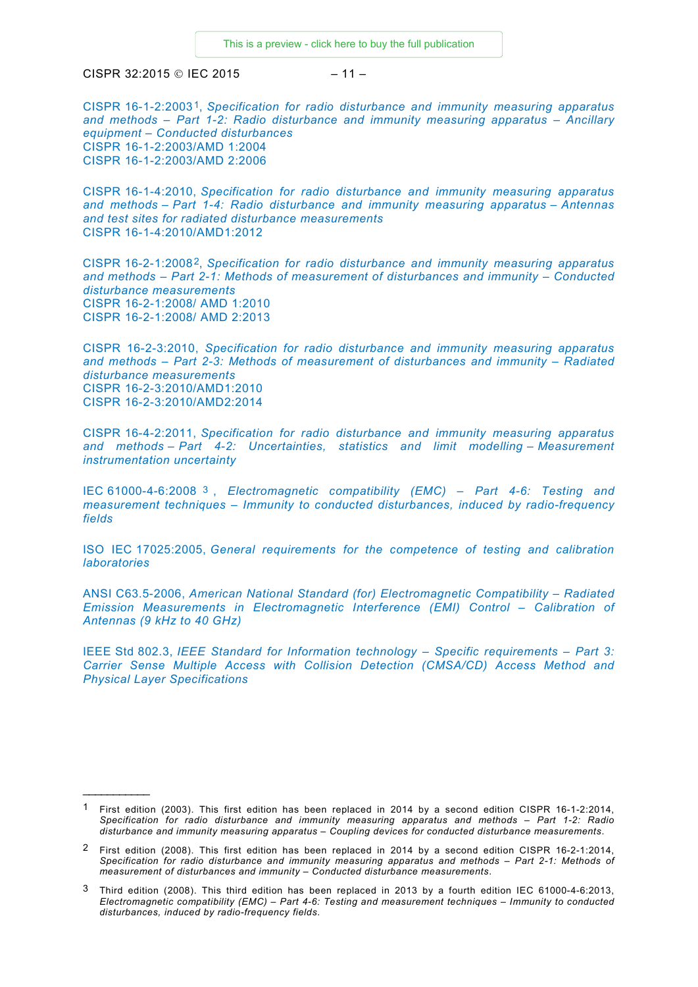$CISPR 32:2015 @ IFC 2015 = 11 -$ 

<span id="page-10-1"></span> $\overline{\phantom{a}}$ 

CISPR 16-1-2:2003[1](#page-10-2), *Specification for radio disturbance and immunity measuring apparatus and methods – Part 1-2: Radio disturbance and immunity measuring apparatus – Ancillary equipment – Conducted disturbances* CISPR 16-1-2:2003/AMD 1:2004 CISPR 16-1-2:2003/AMD 2:2006

CISPR 16-1-4:2010, *Specification for radio disturbance and immunity measuring apparatus and methods – Part 1-4: Radio disturbance and immunity measuring apparatus – Antennas and test sites for radiated disturbance measurements* CISPR 16-1-4:2010/AMD1:2012

CISPR 16-2-1:2008[2](#page-10-3), *Specification for radio disturbance and immunity measuring apparatus and methods – Part 2-1: Methods of measurement of disturbances and immunity – Conducted disturbance measurements* CISPR 16-2-1:2008/ AMD 1:2010 CISPR 16-2-1:2008/ AMD 2:2013

CISPR 16-2-3:2010, *Specification for radio disturbance and immunity measuring apparatus and methods – Part 2-3: Methods of measurement of disturbances and immunity – Radiated disturbance measurements* CISPR 16-2-3:2010/AMD1:2010 CISPR 16-2-3:2010/AMD2:2014

CISPR 16-4-2:2011, *Specification for radio disturbance and immunity measuring apparatus and methods – Part 4-2: Uncertainties, statistics and limit modelling – Measurement instrumentation uncertainty*

IEC 61000-4-6:2008 [3](#page-10-4) , *Electromagnetic compatibility (EMC) – Part 4-6: Testing and measurement techniques – Immunity to conducted disturbances, induced by radio-frequency fields*

ISO IEC 17025:2005, *General requirements for the competence of testing and calibration laboratories*

ANSI C63.5-2006, *American National Standard (for) Electromagnetic Compatibility – Radiated Emission Measurements in Electromagnetic Interference (EMI) Control – Calibration of Antennas (9 kHz to 40 GHz)*

<span id="page-10-0"></span>IEEE Std 802.3, *IEEE Standard for Information technology – Specific requirements – Part 3: Carrier Sense Multiple Access with Collision Detection (CMSA/CD) Access Method and Physical Layer Specifications*

<span id="page-10-2"></span><sup>1</sup> First edition (2003). This first edition has been replaced in 2014 by a second edition CISPR 16-1-2:2014, *Specification for radio disturbance and immunity measuring apparatus and methods – Part 1-2: Radio disturbance and immunity measuring apparatus – Coupling devices for conducted disturbance measurements*.

<span id="page-10-3"></span><sup>2</sup> First edition (2008). This first edition has been replaced in 2014 by a second edition CISPR 16-2-1:2014, *Specification for radio disturbance and immunity measuring apparatus and methods – Part 2-1: Methods of measurement of disturbances and immunity – Conducted disturbance measurements*.

<span id="page-10-4"></span><sup>3</sup> Third edition (2008). This third edition has been replaced in 2013 by a fourth edition IEC 61000-4-6:2013, *Electromagnetic compatibility (EMC) – Part 4-6: Testing and measurement techniques – Immunity to conducted disturbances, induced by radio-frequency fields*.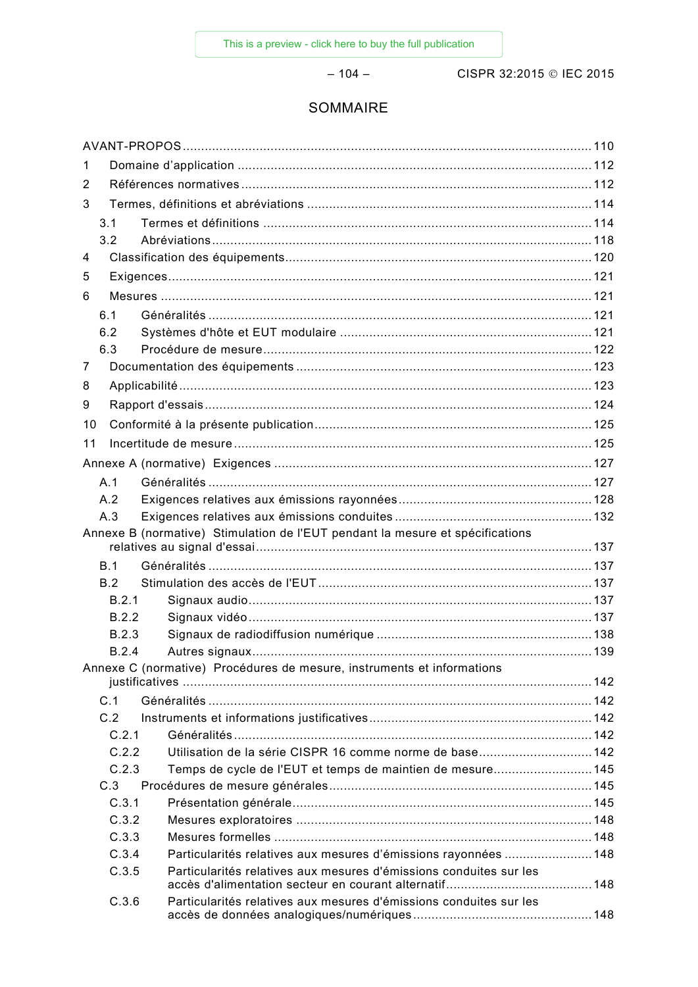$-104-$ 

CISPR 32:2015 © IEC 2015

## SOMMAIRE

| 1   |       |                                                                               |  |
|-----|-------|-------------------------------------------------------------------------------|--|
| 2   |       |                                                                               |  |
| 3   |       |                                                                               |  |
| 3.1 |       |                                                                               |  |
| 3.2 |       |                                                                               |  |
| 4   |       |                                                                               |  |
| 5   |       |                                                                               |  |
| 6   |       |                                                                               |  |
| 6.1 |       |                                                                               |  |
| 6.2 |       |                                                                               |  |
| 6.3 |       |                                                                               |  |
| 7   |       |                                                                               |  |
| 8   |       |                                                                               |  |
| 9   |       |                                                                               |  |
| 10  |       |                                                                               |  |
| 11  |       |                                                                               |  |
|     |       |                                                                               |  |
| A.1 |       |                                                                               |  |
| A.2 |       |                                                                               |  |
| A.3 |       |                                                                               |  |
|     |       | Annexe B (normative) Stimulation de l'EUT pendant la mesure et spécifications |  |
|     |       |                                                                               |  |
| B.1 |       |                                                                               |  |
| B.2 |       |                                                                               |  |
|     | B.2.1 |                                                                               |  |
|     | B.2.2 |                                                                               |  |
|     | B.2.3 |                                                                               |  |
|     | B.2.4 |                                                                               |  |
|     |       | Annexe C (normative) Procédures de mesure, instruments et informations        |  |
| C.1 |       |                                                                               |  |
| C.2 |       |                                                                               |  |
|     | C.2.1 |                                                                               |  |
|     | C.2.2 | Utilisation de la série CISPR 16 comme norme de base 142                      |  |
|     | C.2.3 | Temps de cycle de l'EUT et temps de maintien de mesure145                     |  |
| C.3 |       |                                                                               |  |
|     | C.3.1 |                                                                               |  |
|     | C.3.2 |                                                                               |  |
|     | C.3.3 |                                                                               |  |
|     | C.3.4 | Particularités relatives aux mesures d'émissions rayonnées  148               |  |
|     | C.3.5 | Particularités relatives aux mesures d'émissions conduites sur les            |  |
|     | C.3.6 | Particularités relatives aux mesures d'émissions conduites sur les            |  |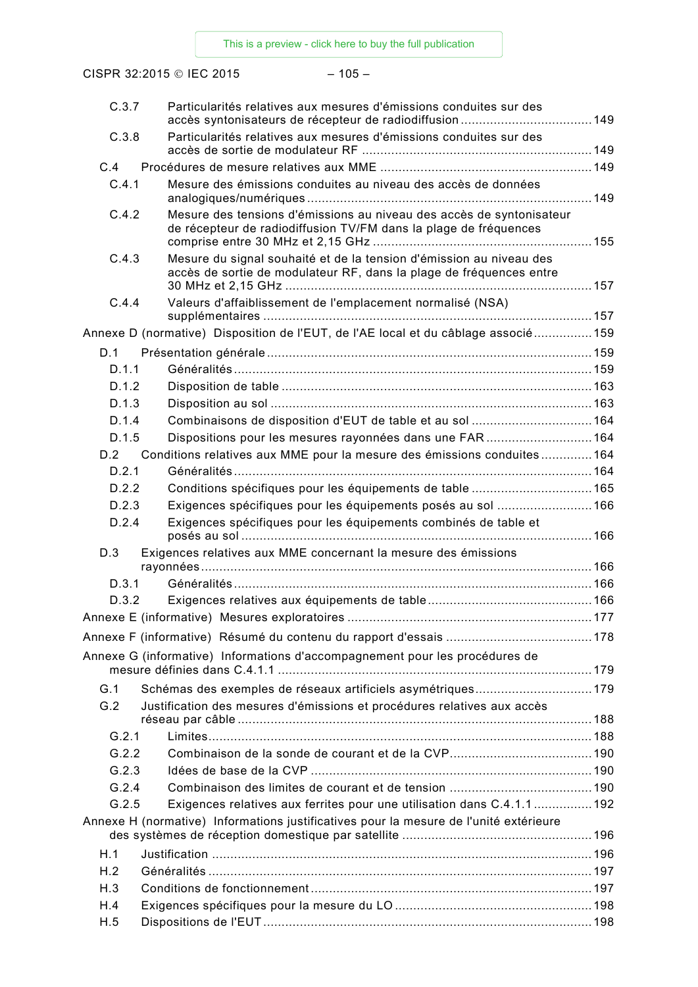CISPR 32:2015 © IEC 2015 – 105 –

| C.3.7 | Particularités relatives aux mesures d'émissions conduites sur des                                                                         |  |
|-------|--------------------------------------------------------------------------------------------------------------------------------------------|--|
| C.3.8 | Particularités relatives aux mesures d'émissions conduites sur des                                                                         |  |
| C.4   |                                                                                                                                            |  |
| C.4.1 | Mesure des émissions conduites au niveau des accès de données                                                                              |  |
| C.4.2 | Mesure des tensions d'émissions au niveau des accès de syntonisateur<br>de récepteur de radiodiffusion TV/FM dans la plage de fréquences   |  |
| C.4.3 | Mesure du signal souhaité et de la tension d'émission au niveau des<br>accès de sortie de modulateur RF, dans la plage de fréquences entre |  |
| C.4.4 | Valeurs d'affaiblissement de l'emplacement normalisé (NSA)                                                                                 |  |
|       | Annexe D (normative) Disposition de l'EUT, de l'AE local et du câblage associé 159                                                         |  |
| D.1   |                                                                                                                                            |  |
| D.1.1 |                                                                                                                                            |  |
| D.1.2 |                                                                                                                                            |  |
| D.1.3 |                                                                                                                                            |  |
| D.1.4 | Combinaisons de disposition d'EUT de table et au sol  164                                                                                  |  |
| D.1.5 | Dispositions pour les mesures rayonnées dans une FAR 164                                                                                   |  |
| D.2   | Conditions relatives aux MME pour la mesure des émissions conduites164                                                                     |  |
| D.2.1 |                                                                                                                                            |  |
| D.2.2 | Conditions spécifiques pour les équipements de table  165                                                                                  |  |
| D.2.3 | Exigences spécifiques pour les équipements posés au sol  166                                                                               |  |
| D.2.4 | Exigences spécifiques pour les équipements combinés de table et                                                                            |  |
| D.3   | Exigences relatives aux MME concernant la mesure des émissions                                                                             |  |
|       |                                                                                                                                            |  |
| D.3.1 |                                                                                                                                            |  |
| D.3.2 |                                                                                                                                            |  |
|       |                                                                                                                                            |  |
|       |                                                                                                                                            |  |
|       | Annexe G (informative) Informations d'accompagnement pour les procédures de                                                                |  |
| G.1   | Schémas des exemples de réseaux artificiels asymétriques179                                                                                |  |
| G.2   | Justification des mesures d'émissions et procédures relatives aux accès                                                                    |  |
| G.2.1 |                                                                                                                                            |  |
| G.2.2 |                                                                                                                                            |  |
| G.2.3 |                                                                                                                                            |  |
| G.2.4 |                                                                                                                                            |  |
| G.2.5 | Exigences relatives aux ferrites pour une utilisation dans C.4.1.1  192                                                                    |  |
|       | Annexe H (normative) Informations justificatives pour la mesure de l'unité extérieure                                                      |  |
| H.1   |                                                                                                                                            |  |
| H.2   |                                                                                                                                            |  |
| H.3   |                                                                                                                                            |  |
| H.4   |                                                                                                                                            |  |
| H.5   |                                                                                                                                            |  |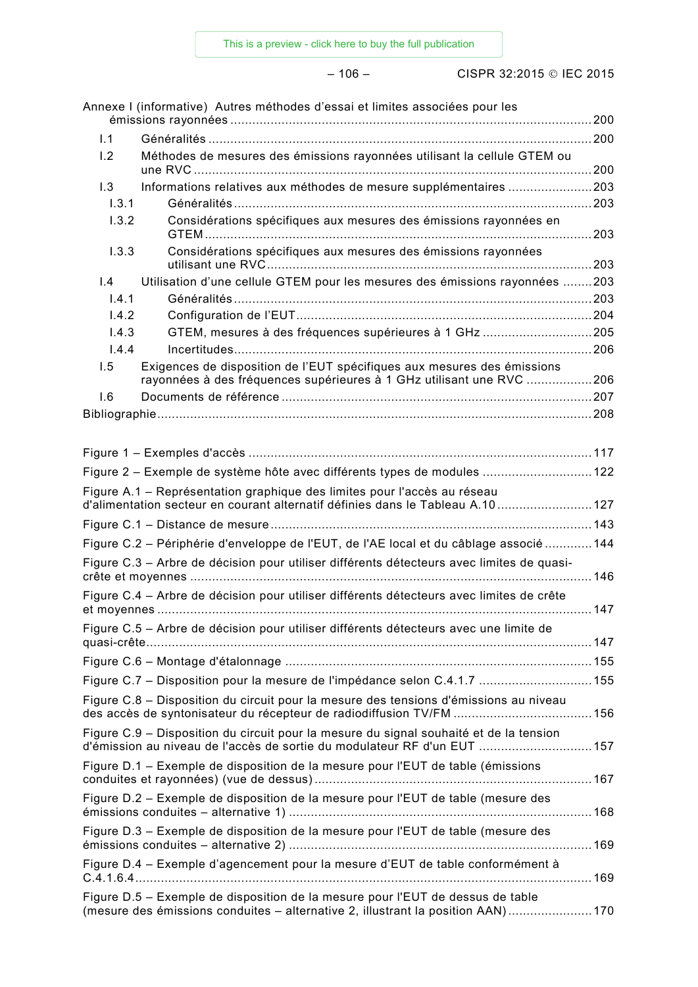– 106 – CISPR 32:2015 IEC 2015

|                               | Annexe I (informative) Autres méthodes d'essai et limites associées pour les                                                                                      |  |
|-------------------------------|-------------------------------------------------------------------------------------------------------------------------------------------------------------------|--|
| 1.1                           |                                                                                                                                                                   |  |
| 1.2                           | Méthodes de mesures des émissions rayonnées utilisant la cellule GTEM ou                                                                                          |  |
| 1.3                           | Informations relatives aux méthodes de mesure supplémentaires 203                                                                                                 |  |
| 1.3.1                         |                                                                                                                                                                   |  |
| 1.3.2                         | Considérations spécifiques aux mesures des émissions rayonnées en                                                                                                 |  |
| 1.3.3                         | Considérations spécifiques aux mesures des émissions rayonnées                                                                                                    |  |
| $\mathsf{I} \cdot \mathsf{4}$ | Utilisation d'une cellule GTEM pour les mesures des émissions rayonnées 203                                                                                       |  |
| 1.4.1                         |                                                                                                                                                                   |  |
| 1.4.2                         |                                                                                                                                                                   |  |
| 1.4.3                         | GTEM, mesures à des fréquences supérieures à 1 GHz 205                                                                                                            |  |
| 1.4.4                         |                                                                                                                                                                   |  |
| 1.5                           | Exigences de disposition de l'EUT spécifiques aux mesures des émissions<br>rayonnées à des fréquences supérieures à 1 GHz utilisant une RVC 206                   |  |
| 1.6                           |                                                                                                                                                                   |  |
|                               |                                                                                                                                                                   |  |
|                               |                                                                                                                                                                   |  |
|                               |                                                                                                                                                                   |  |
|                               | Figure 2 - Exemple de système hôte avec différents types de modules  122                                                                                          |  |
|                               | Figure A.1 – Représentation graphique des limites pour l'accès au réseau<br>d'alimentation secteur en courant alternatif définies dans le Tableau A.10  127       |  |
|                               |                                                                                                                                                                   |  |
|                               | Figure C.2 – Périphérie d'enveloppe de l'EUT, de l'AE local et du câblage associé 144                                                                             |  |
|                               | Figure C.3 - Arbre de décision pour utiliser différents détecteurs avec limites de quasi-                                                                         |  |
|                               | Figure C.4 - Arbre de décision pour utiliser différents détecteurs avec limites de crête                                                                          |  |
|                               | Figure C.5 - Arbre de décision pour utiliser différents détecteurs avec une limite de                                                                             |  |
|                               |                                                                                                                                                                   |  |
|                               | Figure C.7 - Disposition pour la mesure de l'impédance selon C.4.1.7  155                                                                                         |  |
|                               | Figure C.8 - Disposition du circuit pour la mesure des tensions d'émissions au niveau                                                                             |  |
|                               | des accès de syntonisateur du récepteur de radiodiffusion TV/FM  156<br>Figure C.9 – Disposition du circuit pour la mesure du signal souhaité et de la tension    |  |
|                               | d'émission au niveau de l'accès de sortie du modulateur RF d'un EUT  157<br>Figure D.1 – Exemple de disposition de la mesure pour l'EUT de table (émissions       |  |
|                               |                                                                                                                                                                   |  |
|                               | Figure D.2 - Exemple de disposition de la mesure pour l'EUT de table (mesure des                                                                                  |  |
|                               | Figure D.3 - Exemple de disposition de la mesure pour l'EUT de table (mesure des                                                                                  |  |
|                               | Figure D.4 - Exemple d'agencement pour la mesure d'EUT de table conformément à                                                                                    |  |
|                               | Figure D.5 - Exemple de disposition de la mesure pour l'EUT de dessus de table<br>(mesure des émissions conduites - alternative 2, illustrant la position AAN)170 |  |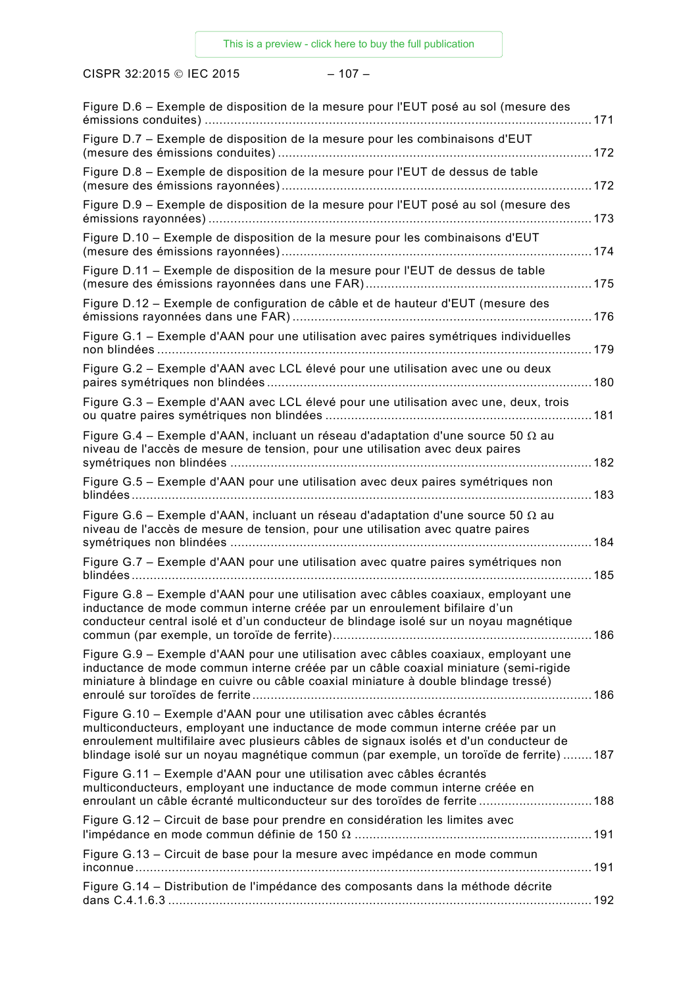CISPR 32:2015 © IEC 2015 – 107 –

| Figure D.7 - Exemple de disposition de la mesure pour les combinaisons d'EUT                                                                                                                                                                                                                                                               |
|--------------------------------------------------------------------------------------------------------------------------------------------------------------------------------------------------------------------------------------------------------------------------------------------------------------------------------------------|
|                                                                                                                                                                                                                                                                                                                                            |
| Figure D.8 - Exemple de disposition de la mesure pour l'EUT de dessus de table                                                                                                                                                                                                                                                             |
| Figure D.9 - Exemple de disposition de la mesure pour l'EUT posé au sol (mesure des                                                                                                                                                                                                                                                        |
| Figure D.10 - Exemple de disposition de la mesure pour les combinaisons d'EUT                                                                                                                                                                                                                                                              |
| Figure D.11 - Exemple de disposition de la mesure pour l'EUT de dessus de table                                                                                                                                                                                                                                                            |
| Figure D.12 – Exemple de configuration de câble et de hauteur d'EUT (mesure des                                                                                                                                                                                                                                                            |
| Figure G.1 - Exemple d'AAN pour une utilisation avec paires symétriques individuelles                                                                                                                                                                                                                                                      |
| Figure G.2 - Exemple d'AAN avec LCL élevé pour une utilisation avec une ou deux                                                                                                                                                                                                                                                            |
| Figure G.3 - Exemple d'AAN avec LCL élevé pour une utilisation avec une, deux, trois                                                                                                                                                                                                                                                       |
| Figure G.4 – Exemple d'AAN, incluant un réseau d'adaptation d'une source 50 $\Omega$ au<br>niveau de l'accès de mesure de tension, pour une utilisation avec deux paires                                                                                                                                                                   |
| Figure G.5 - Exemple d'AAN pour une utilisation avec deux paires symétriques non                                                                                                                                                                                                                                                           |
| Figure G.6 – Exemple d'AAN, incluant un réseau d'adaptation d'une source 50 $\Omega$ au<br>niveau de l'accès de mesure de tension, pour une utilisation avec quatre paires                                                                                                                                                                 |
| Figure G.7 - Exemple d'AAN pour une utilisation avec quatre paires symétriques non                                                                                                                                                                                                                                                         |
| Figure G.8 - Exemple d'AAN pour une utilisation avec câbles coaxiaux, employant une<br>inductance de mode commun interne créée par un enroulement bifilaire d'un<br>conducteur central isolé et d'un conducteur de blindage isolé sur un noyau magnétique                                                                                  |
| Figure G.9 - Exemple d'AAN pour une utilisation avec câbles coaxiaux, employant une<br>inductance de mode commun interne créée par un câble coaxial miniature (semi-rigide<br>miniature à blindage en cuivre ou câble coaxial miniature à double blindage tressé)                                                                          |
| Figure G.10 - Exemple d'AAN pour une utilisation avec câbles écrantés<br>multiconducteurs, employant une inductance de mode commun interne créée par un<br>enroulement multifilaire avec plusieurs câbles de signaux isolés et d'un conducteur de<br>blindage isolé sur un noyau magnétique commun (par exemple, un toroïde de ferrite)187 |
| Figure G.11 - Exemple d'AAN pour une utilisation avec câbles écrantés<br>multiconducteurs, employant une inductance de mode commun interne créée en<br>enroulant un câble écranté multiconducteur sur des toroïdes de ferrite  188                                                                                                         |
| Figure G.12 - Circuit de base pour prendre en considération les limites avec                                                                                                                                                                                                                                                               |
| Figure G.13 - Circuit de base pour la mesure avec impédance en mode commun                                                                                                                                                                                                                                                                 |
| Figure G.14 – Distribution de l'impédance des composants dans la méthode décrite                                                                                                                                                                                                                                                           |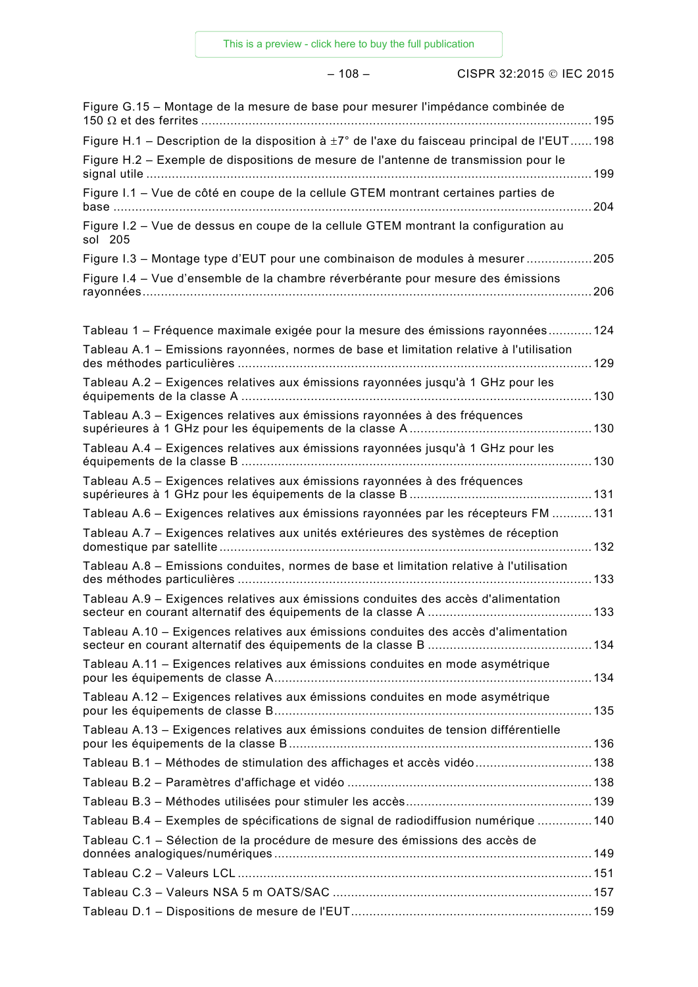– 108 – CISPR 32:2015 IEC 2015

| Figure G.15 – Montage de la mesure de base pour mesurer l'impédance combinée de                         |
|---------------------------------------------------------------------------------------------------------|
| Figure H.1 – Description de la disposition à $\pm 7^{\circ}$ de l'axe du faisceau principal de l'EUT198 |
| Figure H.2 - Exemple de dispositions de mesure de l'antenne de transmission pour le                     |
| Figure I.1 - Vue de côté en coupe de la cellule GTEM montrant certaines parties de                      |
| Figure I.2 - Vue de dessus en coupe de la cellule GTEM montrant la configuration au<br>sol 205          |
| Figure I.3 - Montage type d'EUT pour une combinaison de modules à mesurer205                            |
| Figure I.4 – Vue d'ensemble de la chambre réverbérante pour mesure des émissions                        |
| Tableau 1 – Fréquence maximale exigée pour la mesure des émissions rayonnées124                         |
| Tableau A.1 - Emissions rayonnées, normes de base et limitation relative à l'utilisation                |
| Tableau A.2 - Exigences relatives aux émissions rayonnées jusqu'à 1 GHz pour les                        |
| Tableau A.3 – Exigences relatives aux émissions rayonnées à des fréquences                              |
| Tableau A.4 - Exigences relatives aux émissions rayonnées jusqu'à 1 GHz pour les                        |
| Tableau A.5 - Exigences relatives aux émissions rayonnées à des fréquences                              |
| Tableau A.6 – Exigences relatives aux émissions rayonnées par les récepteurs FM 131                     |
| Tableau A.7 - Exigences relatives aux unités extérieures des systèmes de réception                      |
| Tableau A.8 - Emissions conduites, normes de base et limitation relative à l'utilisation                |
| Tableau A.9 - Exigences relatives aux émissions conduites des accès d'alimentation                      |
| Tableau A.10 - Exigences relatives aux émissions conduites des accès d'alimentation                     |
| Tableau A.11 – Exigences relatives aux émissions conduites en mode asymétrique                          |
| Tableau A.12 - Exigences relatives aux émissions conduites en mode asymétrique                          |
| Tableau A.13 - Exigences relatives aux émissions conduites de tension différentielle                    |
| Tableau B.1 - Méthodes de stimulation des affichages et accès vidéo138                                  |
|                                                                                                         |
|                                                                                                         |
| Tableau B.4 – Exemples de spécifications de signal de radiodiffusion numérique 140                      |
| Tableau C.1 – Sélection de la procédure de mesure des émissions des accès de                            |
|                                                                                                         |
|                                                                                                         |
|                                                                                                         |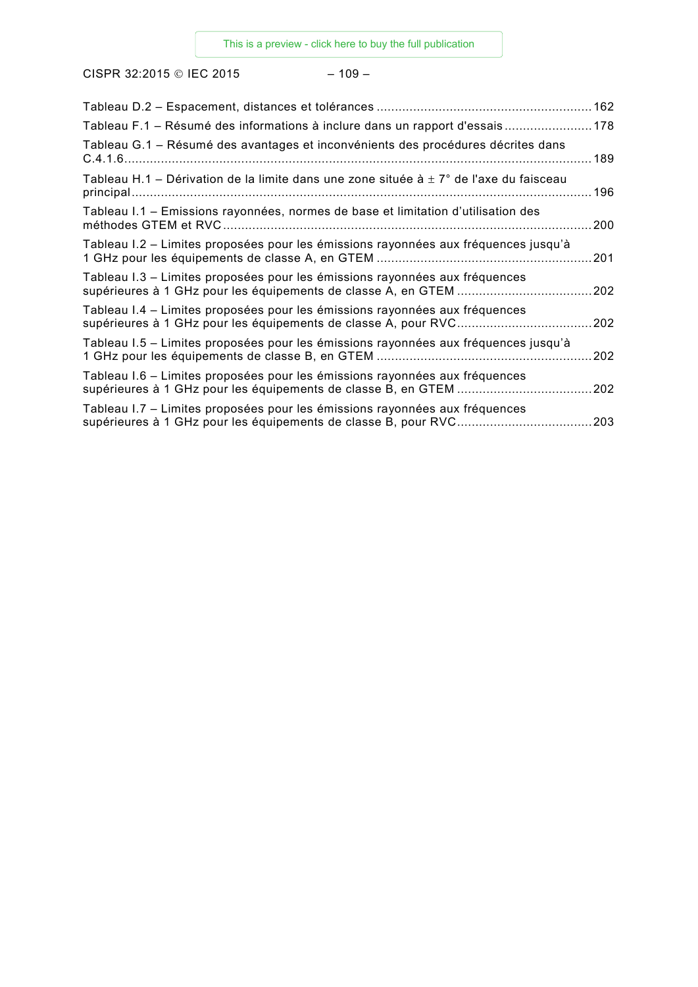CISPR 32:2015 © IEC 2015 – 109 –

| Tableau F.1 – Résumé des informations à inclure dans un rapport d'essais178                |     |
|--------------------------------------------------------------------------------------------|-----|
| Tableau G.1 - Résumé des avantages et inconvénients des procédures décrites dans           | 189 |
| Tableau H.1 – Dérivation de la limite dans une zone située à $\pm$ 7° de l'axe du faisceau |     |
| Tableau I.1 - Emissions rayonnées, normes de base et limitation d'utilisation des          | 200 |
| Tableau I.2 – Limites proposées pour les émissions rayonnées aux fréquences jusqu'à        | 201 |
| Tableau I.3 – Limites proposées pour les émissions rayonnées aux fréquences                | 202 |
| Tableau I.4 – Limites proposées pour les émissions rayonnées aux fréquences                | 202 |
| Tableau I.5 – Limites proposées pour les émissions rayonnées aux fréquences jusqu'à        | 202 |
| Tableau I.6 – Limites proposées pour les émissions rayonnées aux fréquences                | 202 |
| Tableau I.7 – Limites proposées pour les émissions rayonnées aux fréquences                | 203 |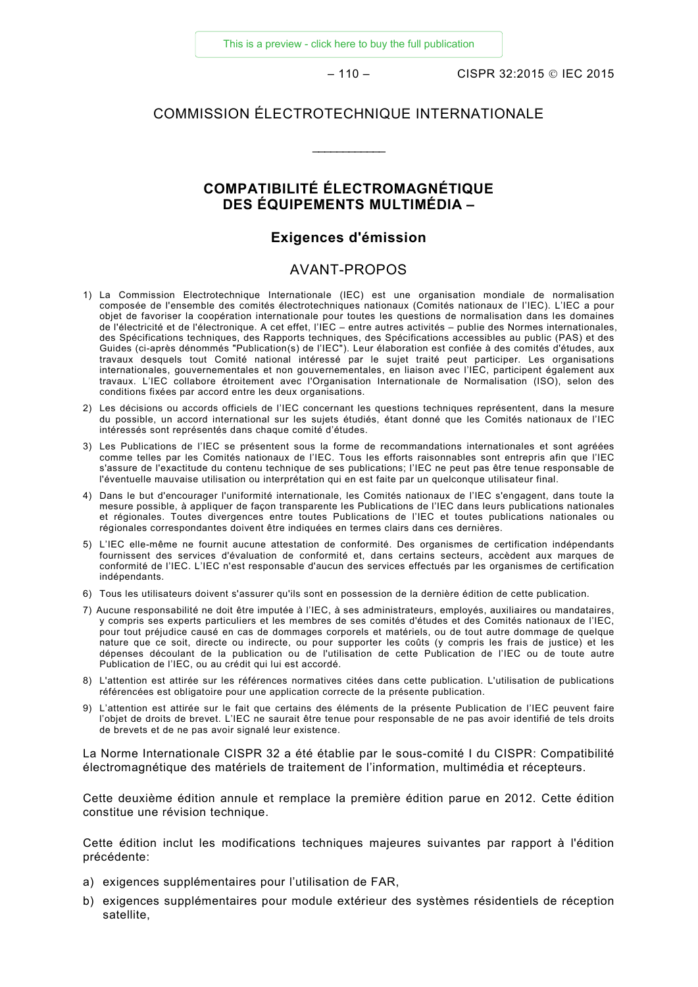[This is a preview - click here to buy the full publication](https://webstore.iec.ch/publication/22046&preview=1)

– 110 – CISPR 32:2015 IEC 2015

#### COMMISSION ÉLECTROTECHNIQUE INTERNATIONALE

\_\_\_\_\_\_\_\_\_\_\_\_

### **COMPATIBILITÉ ÉLECTROMAGNÉTIQUE DES ÉQUIPEMENTS MULTIMÉDIA –**

#### **Exigences d'émission**

#### AVANT-PROPOS

- <span id="page-17-0"></span>1) La Commission Electrotechnique Internationale (IEC) est une organisation mondiale de normalisation composée de l'ensemble des comités électrotechniques nationaux (Comités nationaux de l'IEC). L'IEC a pour objet de favoriser la coopération internationale pour toutes les questions de normalisation dans les domaines de l'électricité et de l'électronique. A cet effet, l'IEC – entre autres activités – publie des Normes internationales, des Spécifications techniques, des Rapports techniques, des Spécifications accessibles au public (PAS) et des Guides (ci-après dénommés "Publication(s) de l'IEC"). Leur élaboration est confiée à des comités d'études, aux travaux desquels tout Comité national intéressé par le sujet traité peut participer. Les organisations internationales, gouvernementales et non gouvernementales, en liaison avec l'IEC, participent également aux travaux. L'IEC collabore étroitement avec l'Organisation Internationale de Normalisation (ISO), selon des conditions fixées par accord entre les deux organisations.
- 2) Les décisions ou accords officiels de l'IEC concernant les questions techniques représentent, dans la mesure du possible, un accord international sur les sujets étudiés, étant donné que les Comités nationaux de l'IEC intéressés sont représentés dans chaque comité d'études.
- 3) Les Publications de l'IEC se présentent sous la forme de recommandations internationales et sont agréées comme telles par les Comités nationaux de l'IEC. Tous les efforts raisonnables sont entrepris afin que l'IEC s'assure de l'exactitude du contenu technique de ses publications; l'IEC ne peut pas être tenue responsable de l'éventuelle mauvaise utilisation ou interprétation qui en est faite par un quelconque utilisateur final.
- 4) Dans le but d'encourager l'uniformité internationale, les Comités nationaux de l'IEC s'engagent, dans toute la mesure possible, à appliquer de façon transparente les Publications de l'IEC dans leurs publications nationales et régionales. Toutes divergences entre toutes Publications de l'IEC et toutes publications nationales ou régionales correspondantes doivent être indiquées en termes clairs dans ces dernières.
- 5) L'IEC elle-même ne fournit aucune attestation de conformité. Des organismes de certification indépendants fournissent des services d'évaluation de conformité et, dans certains secteurs, accèdent aux marques de conformité de l'IEC. L'IEC n'est responsable d'aucun des services effectués par les organismes de certification indépendants.
- 6) Tous les utilisateurs doivent s'assurer qu'ils sont en possession de la dernière édition de cette publication.
- 7) Aucune responsabilité ne doit être imputée à l'IEC, à ses administrateurs, employés, auxiliaires ou mandataires, y compris ses experts particuliers et les membres de ses comités d'études et des Comités nationaux de l'IEC, pour tout préjudice causé en cas de dommages corporels et matériels, ou de tout autre dommage de quelque nature que ce soit, directe ou indirecte, ou pour supporter les coûts (y compris les frais de justice) et les dépenses découlant de la publication ou de l'utilisation de cette Publication de l'IEC ou de toute autre Publication de l'IEC, ou au crédit qui lui est accordé.
- 8) L'attention est attirée sur les références normatives citées dans cette publication. L'utilisation de publications référencées est obligatoire pour une application correcte de la présente publication.
- 9) L'attention est attirée sur le fait que certains des éléments de la présente Publication de l'IEC peuvent faire l'objet de droits de brevet. L'IEC ne saurait être tenue pour responsable de ne pas avoir identifié de tels droits de brevets et de ne pas avoir signalé leur existence.

La Norme Internationale CISPR 32 a été établie par le sous-comité I du CISPR: Compatibilité électromagnétique des matériels de traitement de l'information, multimédia et récepteurs.

Cette deuxième édition annule et remplace la première édition parue en 2012. Cette édition constitue une révision technique.

Cette édition inclut les modifications techniques majeures suivantes par rapport à l'édition précédente:

- a) exigences supplémentaires pour l'utilisation de FAR,
- b) exigences supplémentaires pour module extérieur des systèmes résidentiels de réception satellite,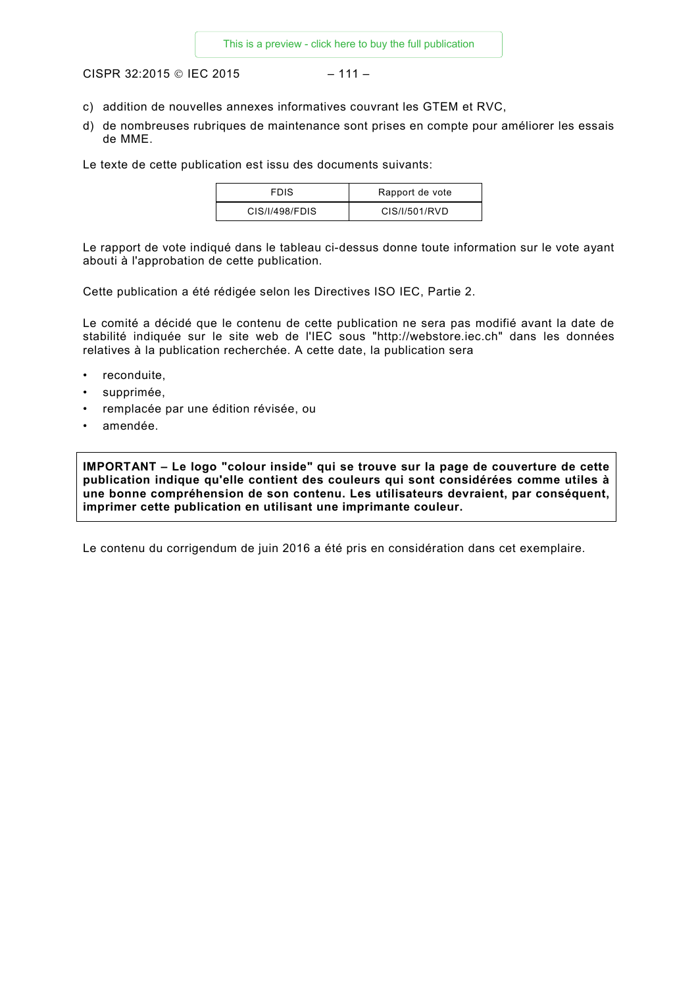CISPR 32:2015 © IEC 2015 – 111 –

- c) addition de nouvelles annexes informatives couvrant les GTEM et RVC,
- d) de nombreuses rubriques de maintenance sont prises en compte pour améliorer les essais de MME.

Le texte de cette publication est issu des documents suivants:

| <b>FDIS</b>    | Rapport de vote |
|----------------|-----------------|
| CIS/I/498/FDIS | CIS/I/501/RVD   |

Le rapport de vote indiqué dans le tableau ci-dessus donne toute information sur le vote ayant abouti à l'approbation de cette publication.

Cette publication a été rédigée selon les Directives ISO IEC, Partie 2.

Le comité a décidé que le contenu de cette publication ne sera pas modifié avant la date de stabilité indiquée sur le site web de l'IEC sous "http://webstore.iec.ch" dans les données relatives à la publication recherchée. A cette date, la publication sera

- reconduite.
- supprimée,
- remplacée par une édition révisée, ou
- amendée.

**IMPORTANT – Le logo "colour inside" qui se trouve sur la page de couverture de cette publication indique qu'elle contient des couleurs qui sont considérées comme utiles à une bonne compréhension de son contenu. Les utilisateurs devraient, par conséquent, imprimer cette publication en utilisant une imprimante couleur.**

Le contenu du corrigendum de juin 2016 a été pris en considération dans cet exemplaire.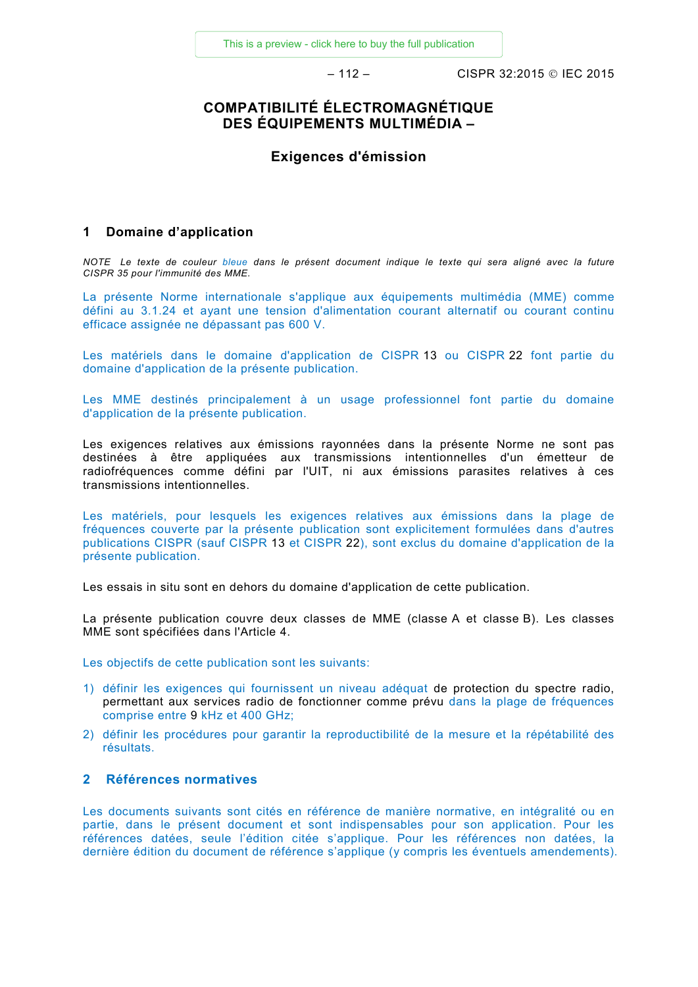– 112 – CISPR 32:2015 IEC 2015

### **COMPATIBILITÉ ÉLECTROMAGNÉTIQUE DES ÉQUIPEMENTS MULTIMÉDIA –**

#### **Exigences d'émission**

#### <span id="page-19-0"></span>**1 Domaine d'application**

*NOTE Le texte de couleur bleue dans le présent document indique le texte qui sera aligné avec la future CISPR 35 pour l'immunité des MME.* 

La présente Norme internationale s'applique aux équipements multimédia (MME) comme défini au 3.1.24 et ayant une tension d'alimentation courant alternatif ou courant continu efficace assignée ne dépassant pas 600 V.

Les matériels dans le domaine d'application de CISPR 13 ou CISPR 22 font partie du domaine d'application de la présente publication.

Les MME destinés principalement à un usage professionnel font partie du domaine d'application de la présente publication.

Les exigences relatives aux émissions rayonnées dans la présente Norme ne sont pas destinées à être appliquées aux transmissions intentionnelles d'un émetteur de radiofréquences comme défini par l'UIT, ni aux émissions parasites relatives à ces transmissions intentionnelles.

Les matériels, pour lesquels les exigences relatives aux émissions dans la plage de fréquences couverte par la présente publication sont explicitement formulées dans d'autres publications CISPR (sauf CISPR 13 et CISPR 22), sont exclus du domaine d'application de la présente publication.

Les essais in situ sont en dehors du domaine d'application de cette publication.

La présente publication couvre deux classes de MME (classe A et classe B). Les classes MME sont spécifiées dans l'Article 4.

Les objectifs de cette publication sont les suivants:

- 1) définir les exigences qui fournissent un niveau adéquat de protection du spectre radio, permettant aux services radio de fonctionner comme prévu dans la plage de fréquences comprise entre 9 kHz et 400 GHz;
- 2) définir les procédures pour garantir la reproductibilité de la mesure et la répétabilité des résultats.

#### <span id="page-19-1"></span>**2 Références normatives**

Les documents suivants sont cités en référence de manière normative, en intégralité ou en partie, dans le présent document et sont indispensables pour son application. Pour les références datées, seule l'édition citée s'applique. Pour les références non datées, la dernière édition du document de référence s'applique (y compris les éventuels amendements).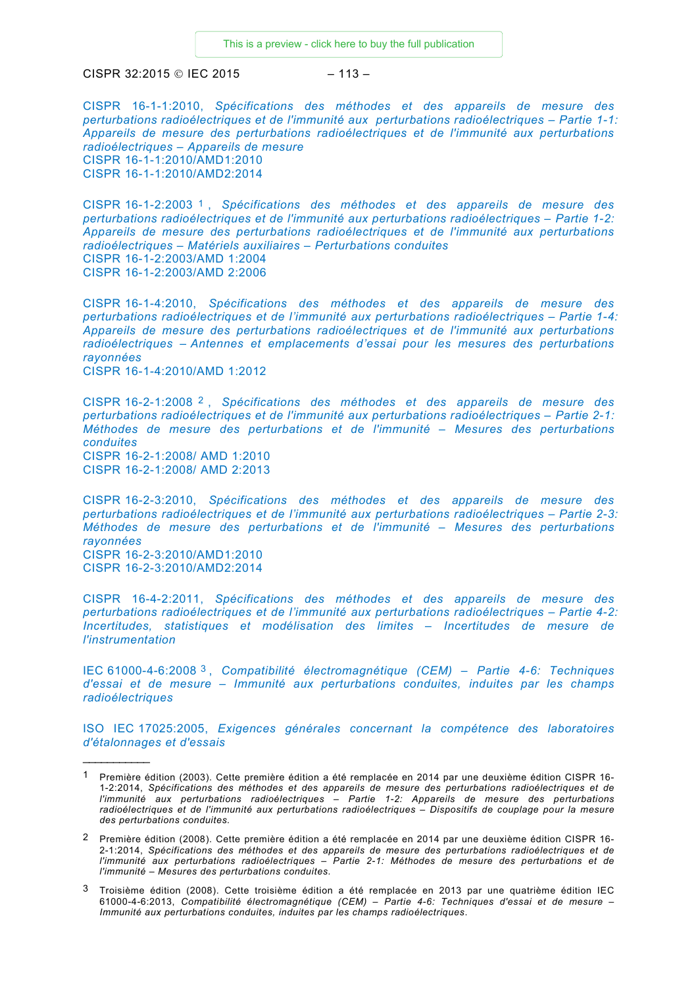$CISPR 32:2015 \circledcirc$  IEC 2015  $-113-$ 

CISPR 16-1-1:2010, *Spécifications des méthodes et des appareils de mesure des perturbations radioélectriques et de l'immunité aux perturbations radioélectriques – Partie 1-1: Appareils de mesure des perturbations radioélectriques et de l'immunité aux perturbations radioélectriques – Appareils de mesure* CISPR 16-1-1:2010/AMD1:2010 CISPR 16-1-1:2010/AMD2:2014

CISPR 16-1-2:2003 [1](#page-20-0) , *Spécifications des méthodes et des appareils de mesure des perturbations radioélectriques et de l'immunité aux perturbations radioélectriques – Partie 1-2: Appareils de mesure des perturbations radioélectriques et de l'immunité aux perturbations radioélectriques – Matériels auxiliaires – Perturbations conduites* CISPR 16-1-2:2003/AMD 1:2004 CISPR 16-1-2:2003/AMD 2:2006

CISPR 16-1-4:2010, *Spécifications des méthodes et des appareils de mesure des perturbations radioélectriques et de l'immunité aux perturbations radioélectriques – Partie 1-4: Appareils de mesure des perturbations radioélectriques et de l'immunité aux perturbations radioélectriques – Antennes et emplacements d'essai pour les mesures des perturbations rayonnées* CISPR 16-1-4:2010/AMD 1:2012

CISPR 16-2-1:2008 [2](#page-20-1) , *Spécifications des méthodes et des appareils de mesure des perturbations radioélectriques et de l'immunité aux perturbations radioélectriques – Partie 2-1: Méthodes de mesure des perturbations et de l'immunité – Mesures des perturbations conduites* CISPR 16-2-1:2008/ AMD 1:2010

CISPR 16-2-1:2008/ AMD 2:2013

 $\overline{\phantom{a}}$ 

CISPR 16-2-3:2010, *Spécifications des méthodes et des appareils de mesure des perturbations radioélectriques et de l'immunité aux perturbations radioélectriques – Partie 2-3: Méthodes de mesure des perturbations et de l'immunité – Mesures des perturbations rayonnées* CISPR 16-2-3:2010/AMD1:2010 CISPR 16-2-3:2010/AMD2:2014

CISPR 16-4-2:2011, *Spécifications des méthodes et des appareils de mesure des perturbations radioélectriques et de l'immunité aux perturbations radioélectriques – Partie 4-2: Incertitudes, statistiques et modélisation des limites – Incertitudes de mesure de l'instrumentation*

IEC 61000-4-6:2008 [3](#page-20-2) , *Compatibilité électromagnétique (CEM) – Partie 4-6: Techniques d'essai et de mesure – Immunité aux perturbations conduites, induites par les champs radioélectriques*

ISO IEC 17025:2005, *Exigences générales concernant la compétence des laboratoires d'étalonnages et d'essais*

<span id="page-20-0"></span><sup>1</sup> Première édition (2003). Cette première édition a été remplacée en 2014 par une deuxième édition CISPR 16- 1-2:2014, *Spécifications des méthodes et des appareils de mesure des perturbations radioélectriques et de l'immunité aux perturbations radioélectriques – Partie 1-2: Appareils de mesure des perturbations*  radioélectriques et de l'immunité aux perturbations radioélectriques – Dispositifs de couplage pour la mesure *des perturbations conduites.*

<span id="page-20-1"></span><sup>2</sup> Première édition (2008). Cette première édition a été remplacée en 2014 par une deuxième édition CISPR 16- 2-1:2014, *Spécifications des méthodes et des appareils de mesure des perturbations radioélectriques et de l'immunité aux perturbations radioélectriques – Partie 2-1: Méthodes de mesure des perturbations et de l'immunité – Mesures des perturbations conduites.*

<span id="page-20-2"></span><sup>3</sup> Troisième édition (2008). Cette troisième édition a été remplacée en 2013 par une quatrième édition IEC 61000-4-6:2013, *Compatibilité électromagnétique (CEM) – Partie 4-6: Techniques d'essai et de mesure – Immunité aux perturbations conduites, induites par les champs radioélectriques*.